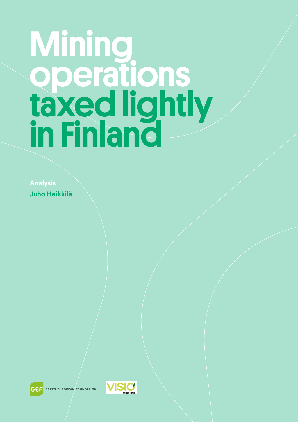# **Mining** operations taxed lightly in Finland

**Analysis Juho Heikkilä**





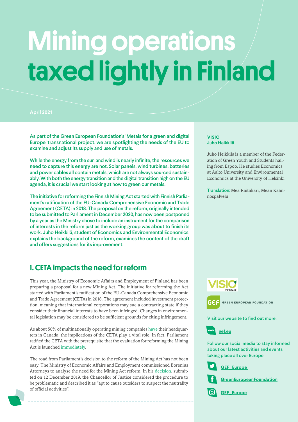## Mining operations taxed lightly in Finland

#### **April 2021**

As part of the Green European Foundation's 'Metals for a green and digital Europe' transnational project, we are spotlighting the needs of the EU to examine and adjust its supply and use of metals.

While the energy from the sun and wind is nearly infinite, the resources we need to capture this energy are not. Solar panels, wind turbines, batteries and power cables all contain metals, which are not always sourced sustainably. With both the energy transition and the digital transition high on the EU agenda, it is crucial we start looking at how to green our metals.

The initiative for reforming the Finnish Mining Act started with Finnish Parliament's ratification of the EU-Canada Comprehensive Economic and Trade Agreement (CETA) in 2018. The proposal on the reform, originally intended to be submitted to Parliament in December 2020, has now been postponed by a year as the Ministry chose to include an instrument for the comparison of interests in the reform just as the working group was about to finish its work. Juho Heikkilä, student of Economics and Environmental Economics, explains the background of the reform, examines the content of the draft and offers suggestions for its improvement.

## 1. CETA impacts the need for reform

This year, the Ministry of Economic Affairs and Employment of Finland has been preparing a proposal for a new Mining Act. The initiative for reforming the Act started with Parliament's ratification of the EU-Canada Comprehensive Economic and Trade Agreement (CETA) in 2018. The agreement included investment protection, meaning that international corporations may sue a contracting state if they consider their financial interests to have been infringed. Changes in environmental legislation may be considered to be sufficient grounds for citing infringement.

As about 50% of multinationally operating mining companies [have](https://www.vihrealanka.fi/juttu/kaivoslakia-lobannut-lakifirma-kaivoslakia-selvitt%C3%A4m%C3%A4ss%C3%A4-%E2%80%93-suomi-valmistautuu-ceta-sopimukseen) their headquarters in Canada, the implications of the CETA play a vital role. In fact, Parliament ratified the CETA with the prerequisite that the evaluation for reforming the Mining Act is launched [immediately](https://www.eduskunta.fi/FI/vaski/EduskunnanVastaus/Documents/EV_41+2018.pdf).

The road from Parliament's decision to the reform of the Mining Act has not been easy. The Ministry of Economic Affairs and Employment commissioned Borenius Attorneys to analyse the need for the Mining Act reform. In his [decision](https://www.okv.fi/media/filer_public/f9/d8/f9d87bb0-2fd4-4157-a140-ed1a25657f26/okv_536_1_2019.pdf), submitted on 12 December 2019, the Chancellor of Justice considered the procedure to be problematic and described it as "apt to cause outsiders to suspect the neutrality of official activities".

#### **VISIO** Juho Heikkilä

Juho Heikkilä is a member of the Federation of Green Youth and Students hailing from Espoo. He studies Economics at Aalto University and Environmental Economics at the University of Helsinki.

Translation: Mea Raitakari, Mean Käännöspalvelu



Visit our website to find out more:



i

j

Follow our social media to stay informed about our latest activities and events taking place all over Europe





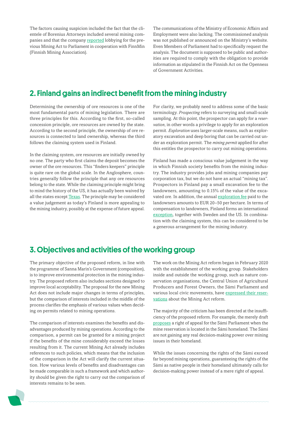The factors causing suspicion included the fact that the clientele of Borenius Attorneys included several mining companies and that the company [reported](https://www.vihrealanka.fi/juttu/kaivoslakia-lobannut-lakifirma-kaivoslakia-selvitt%C3%A4m%C3%A4ss%C3%A4-%E2%80%93-suomi-valmistautuu-ceta-sopimukseen) lobbying for the previous Mining Act to Parliament in cooperation with FinnMin (Finnish Mining Association).

The communications of the Ministry of Economic Affairs and Employment were also lacking. The commissioned analysis was not published or announced on the Ministry's website. Even Members of Parliament had to specifically request the analysis. The document is supposed to be public and authorities are required to comply with the obligation to provide information as stipulated in the Finnish Act on the Openness of Government Activities.

### 2. Finland gains an indirect benefit from the mining industry

Determining the ownership of ore resources is one of the most fundamental parts of mining legislation. There are three principles for this. According to the first, so-called concession principle, ore resources are owned by the state. According to the second principle, the ownership of ore resources is connected to land ownership, whereas the third follows the claiming system used in Finland.

In the claiming system, ore resources are initially owned by no one. The party who first claims the deposit becomes the owner of the ore resources. This "finders keepers" principle is quite rare on the global scale. In the Anglosphere, countries generally follow the principle that any ore resources belong to the state. While the claiming principle might bring to mind the history of the US, it has actually been waived by all the states except [Texas.](https://www.hs.fi/mielipide/art-2000002529842.html) The principle may be considered a value judgement as today's Finland is more appealing to the mining industry, possibly at the expense of future appeal.

For clarity, we probably need to address some of the basic terminology. *Prospecting* refers to surveying and small-scale sampling. At this point, the prospector can apply for a *reservation*, in other words a privilege to apply for an exploration permit. *Exploration* uses larger-scale means, such as exploratory excavation and deep boring that can be carried out under an exploration permit. The *mining permit* applied for after this entitles the prospector to carry out mining operations.

Finland has made a conscious value judgement in the way in which Finnish society benefits from the mining industry. The industry provides jobs and mining companies pay corporation tax, but we do not have an actual "mining tax". Prospectors in Finland pay a small excavation fee to the landowners, amounting to 0.15% of the value of the excavated ore. In addition, the annual [exploration fee](https://www.maaseuduntulevaisuus.fi/talous/artikkeli-1.361309) paid to the landowners amounts to EUR 20–50 per hectare. In terms of compensation to landowners, Finland forms an international [exception](https://www.hs.fi/mielipide/art-2000002559245.html), together with Sweden and the US. In combination with the claiming system, this can be considered to be a generous arrangement for the mining industry.

### 3. Objectives and activities of the working group

The primary objective of the proposed reform, in line with the programme of Sanna Marin's Government ([composition](https://en.wikipedia.org/wiki/Marin_Cabinet)), is to improve environmental protection in the mining industry. The proposed reform also includes sections designed to improve local acceptability. The proposal for the new Mining Act does not include major changes in terms of principles, but the comparison of interests included in the middle of the process clarifies the emphasis of various values when deciding on permits related to mining operations.

The comparison of interests examines the benefits and disadvantages produced by mining operations. According to the comparison, a permit can be granted for a mining project if the benefits of the mine considerably exceed the losses resulting from it. The current Mining Act already includes references to such policies, which means that the inclusion of the comparison in the Act will clarify the current situation. How various levels of benefits and disadvantages can be made comparable in such a framework and which authority should be given the right to carry out the comparison of interests remains to be seen.

The work on the Mining Act reform began in February 2020 with the establishment of the [working group](https://tem.fi/en/-/tyoryhma-tukemaan-kaivoslain-uudistamista). Stakeholders inside and outside the working group, such as nature conservation organisations, the Central Union of Agricultural Producers and Forest Owners, the Sámi Parliament and various local civic movements, have [expressed their reser](https://www.hs.fi/mielipide/art-2000006619284.html)[vations](https://www.hs.fi/mielipide/art-2000006619284.html) about the Mining Act reform.

The majority of the criticism has been directed at the insufficiency of the proposed reform. For example, the merely draft [proposes](https://tem.fi/documents/1410877/42133129/Hallituksen+esitys+eduskunnalle+kaivoslain+muuttamisesta+20201016.pdf/c23df59f-439f-bea8-3884-5151d589f5a8/Hallituksen+esitys+eduskunnalle+kaivoslain+muuttamisesta+20201016.pdf?t=1603455027588) a right of appeal for the Sámi Parliament when the mine reservation is located in the Sámi homeland. The Sámi are not gaining any real decision-making power over mining issues in their homeland.

While the issues concerning the rights of the Sámi exceed far beyond mining operations, guaranteeing the rights of the Sámi as native people in their homeland ultimately calls for decision-making power instead of a mere right of appeal.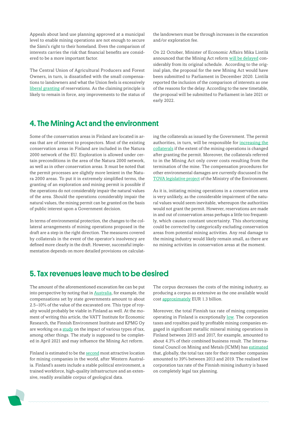Appeals about land use planning approved at a municipal level to enable mining operations are not enough to secure the Sámi's right to their homeland. Even the comparison of interests carries the risk that financial benefits are considered to be a more important factor.

The Central Union of Agricultural Producers and Forest Owners, in turn, is dissatisfied with the small compensations to landowners and what the Union feels is excessively [liberal granting](https://www.hs.fi/mielipide/art-2000006619284.html) of reservations. As the claiming principle is likely to remain in force, any improvements to the status of the landowners must be through increases in the excavation and/or exploration fee.

On 22 October, Minister of Economic Affairs Mika Lintilä announced that the Mining Act reform [will be delayed](https://www.satakunnankansa.fi/kotimaa/art-2000007079478.html) considerably from its original schedule. According to the original plan, the proposal for the new Mining Act would have been submitted to Parliament in December 2020. Lintilä reported the inclusion of the comparison of interests as one of the reasons for the delay. According to the new timetable, the proposal will be submitted to Parliament in late 2021 or early 2022.

#### 4. The Mining Act and the environment

Some of the conservation areas in Finland are located in areas that are of interest to prospectors. Most of the existing conservation areas in Finland are included in the Natura 2000 network of the EU. Exploration is allowed under certain preconditions in the area of the Natura 2000 network, as well as in other conservation areas. It must be noted that the permit processes are slightly more lenient in the Natura 2000 areas. To put it in extremely simplified terms, the granting of an exploration and mining permit is possible if the operations do not considerably impair the natural values of the area. Should the operations considerably impair the natural values, the mining permit can be granted on the basis of public interest upon a Government decision.

In terms of environmental protection, the changes to the collateral arrangements of mining operations proposed in the draft are a step in the right direction. The measures covered by collaterals in the event of the operator's insolvency are defined more clearly in the draft. However, successful implementation depends on more detailed provisions on calculating the collaterals as issued by the Government. The permit authorities, in turn, will be responsible for [increasing the](https://tem.fi/documents/1410877/42133129/Hallituksen+esitys+eduskunnalle+kaivoslain+muuttamisesta+20201016.pdf/c23df59f-439f-bea8-3884-5151d589f5a8/Hallituksen+esitys+eduskunnalle+kaivoslain+muuttamisesta+20201016.pdf?t=1603455027588)  [collaterals](https://tem.fi/documents/1410877/42133129/Hallituksen+esitys+eduskunnalle+kaivoslain+muuttamisesta+20201016.pdf/c23df59f-439f-bea8-3884-5151d589f5a8/Hallituksen+esitys+eduskunnalle+kaivoslain+muuttamisesta+20201016.pdf?t=1603455027588) if the extent of the mining operations is changed after granting the permit. Moreover, the collaterals referred to in the Mining Act only cover costs resulting from the termination of the mine. The compensation procedures for other environmental damages are currently discussed in the [TOVA legislative project](https://valtioneuvosto.fi/hanke?tunnus=YM033:00/2019) of the Ministry of the Environment.

As it is, initiating mining operations in a conservation area is very unlikely, as the considerable impairment of the natural values would seem inevitable, whereupon the authorities would not grant the permit. However, reservations are made in and out of conservation areas perhaps a little too frequently, which causes constant uncertainty. This shortcoming could be corrected by categorically excluding conservation areas from potential mining activities. Any real damage to the mining industry would likely remain small, as there are no mining activities in conservation areas at the moment.

### 5. Tax revenues leave much to be desired

The amount of the aforementioned excavation fee can be put into perspective by noting that in [Australia](https://www.hs.fi/politiikka/art-2000005949676.html), for example, the compensations set by state governments amount to about 2.5–10% of the value of the excavated ore. This type of royalty would probably be viable in Finland as well. At the moment of writing this article, the VATT Institute for Economic Research, the Finnish Environment Institute and KPMG Oy are working on a [study](https://tietokayttoon.fi/-/kaivosveron-vaihtoehdot-ja-vaikutukset-taxmine-) on the impact of various types of tax, among other things. The study is supposed to be completed in April 2021 and may influence the Mining Act reform.

Finland is estimated to be the [second](https://www.fraserinstitute.org/sites/default/files/annual-survey-of-mining-companies-2019-execsum.pdf) most attractive location for mining companies in the world, after Western Australia. Finland's assets include a stable political environment, a trained workforce, high-quality infrastructure and an extensive, readily available corpus of geological data.

The corpus decreases the costs of the mining industry, as producing a corpus as extensive as the one available would cost [approximately](https://vnk.fi/-/selvitys-suomen-laaja-geotietoaineisto-on-hyodyksi-alueiden-suunnittelussa) EUR 1.3 billion.

Moreover, the total Finnish tax rate of mining companies operating in Finland is exceptionally [low.](https://www.mattiylonen.fi/?p=293) The corporation taxes and royalties paid by profitable mining companies engaged in significant metallic mineral mining operations in Finland between 2015 and 2017, for example, amounted to about 4.3% of their combined business result. The International Council on Mining and Metals (ICMM) has [estimated](https://www.icmm.com/en-gb/research/social-performance/tax-2-2020) that, globally, the total tax rate for their member companies amounted to 39% between 2013 and 2019. The realised low corporation tax rate of the Finnish mining industry is based on completely legal tax planning.